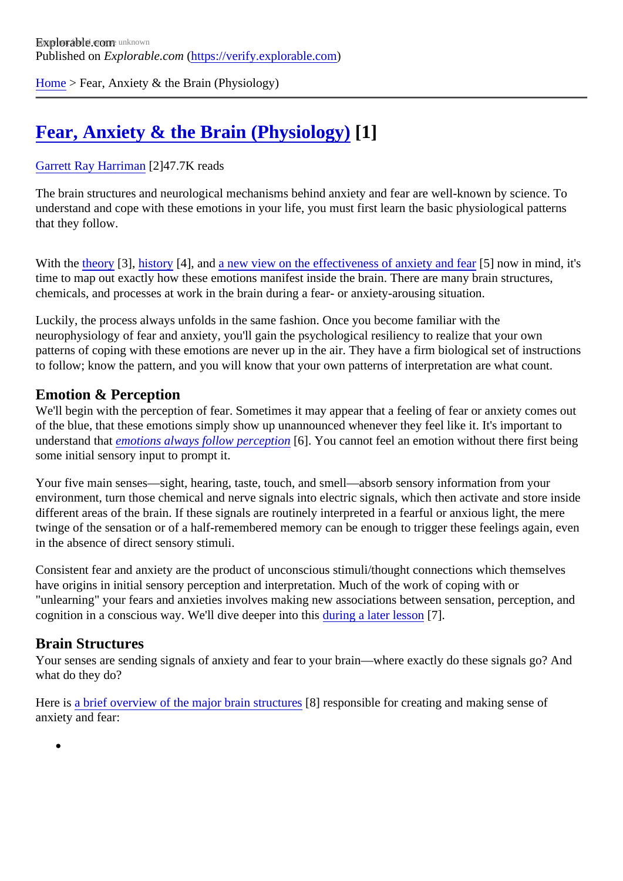[Home](https://verify.explorable.com/) > Fear, Anxiety & the Brain (Physiology)

# [Fear, Anxiety & the Brain \(Physiology\)](https://verify.explorable.com/e/fear-anxiety-the-brain-physiology)[1]

#### [Garrett Ray Harrima](https://verify.explorable.com/users/grharriman)<sup>[2]</sup>47.7K reads

The brain structures and neurological mechanisms behind anxiety and fear are well-known by science. To understand and cope with these emotions in your life, you must first learn the basic physiological patterns that they follow.

With the [theory](https://explorable.com/theories-of-emotion)[3], [history](https://explorable.com/the-history-of-anxiety-fear)[4], an[d a new view on the effectiveness of anxiety and](https://explorable.com/are-anxiety-fear-bad-things) **for an** mind, it's time to map out exactly how these emotions manifest inside the brain. There are many brain structures, chemicals, and processes at work in the brain during a fear- or anxiety-arousing situation.

Luckily, the process always unfolds in the same fashion. Once you become familiar with the neurophysiology of fear and anxiety, you'll gain the psychological resiliency to realize that your own patterns of coping with these emotions are never up in the air. They have a firm biological set of instruction to follow; know the pattern, and you will know that your own patterns of interpretation are what count.

#### Emotion & Perception

We'll begin with the perception of fear. Sometimes it may appear that a feeling of fear or anxiety comes out of the blue, that these emotions simply show up unannounced whenever they feel like it. It's important to understand that motions always follow perception. You cannot feel an emotion without there first being some initial sensory input to prompt it.

Your five main senses—sight, hearing, taste, touch, and smell—absorb sensory information from your environment, turn those chemical and nerve signals into electric signals, which then activate and store inser different areas of the brain. If these signals are routinely interpreted in a fearful or anxious light, the mere twinge of the sensation or of a half-remembered memory can be enough to trigger these feelings again, ev in the absence of direct sensory stimuli.

Consistent fear and anxiety are the product of unconscious stimuli/thought connections which themselves have origins in initial sensory perception and interpretation. Much of the work of coping with or "unlearning" your fears and anxieties involves making new associations between sensation, perception, an cognition in a conscious way. We'll dive deeper into doising a later lesson?].

#### Brain Structures

Your senses are sending signals of anxiety and fear to your brain—where exactly do these signals go? And what do they do?

Here isa brief overview of the major brain structures responsible for creating and making sense of anxiety and fear: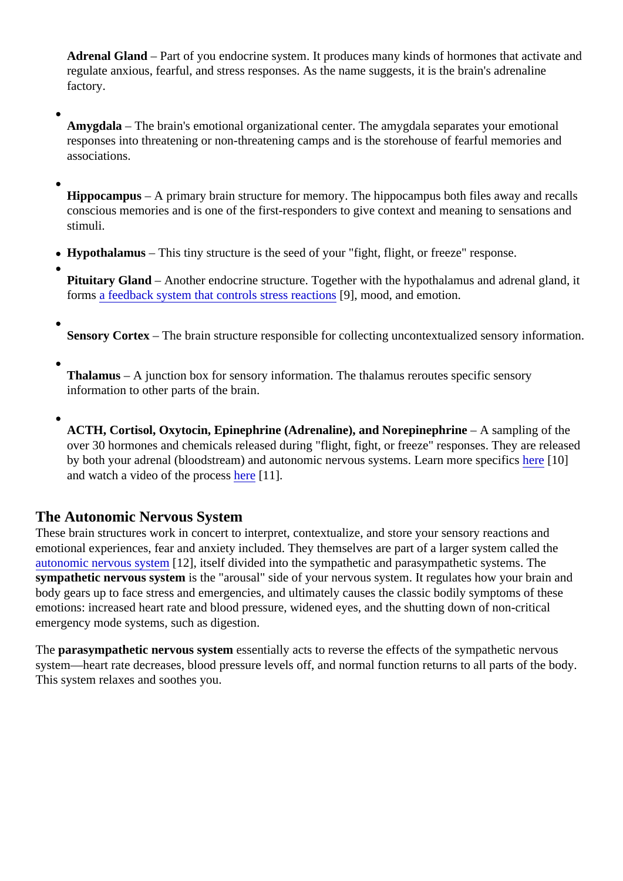Adrenal Gland – Part of you endocrine system. It produces many kinds of hormones that activate an regulate anxious, fearful, and stress responses. As the name suggests, it is the brain's adrenaline factory.

Amygdala – The brain's emotional organizational center. The amygdala separates your emotional responses into threatening or non-threatening camps and is the storehouse of fearful memories and associations.

Hippocampus – A primary brain structure for memory. The hippocampus both files away and recalls conscious memories and is one of the first-responders to give context and meaning to sensations are stimuli.

• Hypothalamus – This tiny structure is the seed of your "fight, flight, or freeze" response.

Pituitary Gland – Another endocrine structure. Together with the hypothalamus and adrenal gland, it forms a feedback system that controls stress read and and emotion.

Sensory Cortex- The brain structure responsible for collecting uncontextualized sensory information

Thalamus – A junction box for sensory information. The thalamus reroutes specific sensory information to other parts of the brain.

ACTH, Cortisol, Oxytocin, Epinephrine (Adrenaline), and Norepinephrine – A sampling of the over 30 hormones and chemicals released during "flight, fight, or freeze" responses. They are releas by both your adrenal (bloodstream) and autonomic nervous systems. Learn more [spec](http://science.howstuffworks.com/life/inside-the-mind/emotions/fear2.htm)ifics and watch a video of the process e<sup>[11]</sup>.

### The Autonomic Nervous System

These brain structures work in concert to interpret, contextualize, and store your sensory reactions and emotional experiences, fear and anxiety included. They themselves are part of a larger system called the [autonomic nervous syste](http://www.everydayhealth.com/sexual-health/dr-laura-berman-autonomic-nervous-system.aspx)r 12], itself divided into the sympathetic and parasympathetic systems. The sympathetic nervous systems the "arousal" side of your nervous system. It regulates how your brain and body gears up to face stress and emergencies, and ultimately causes the classic bodily symptoms of thes emotions: increased heart rate and blood pressure, widened eyes, and the shutting down of non-critical emergency mode systems, such as digestion.

The parasympathetic nervous systemessentially acts to reverse the effects of the sympathetic nervous system—heart rate decreases, blood pressure levels off, and normal function returns to all parts of the bod This system relaxes and soothes you.